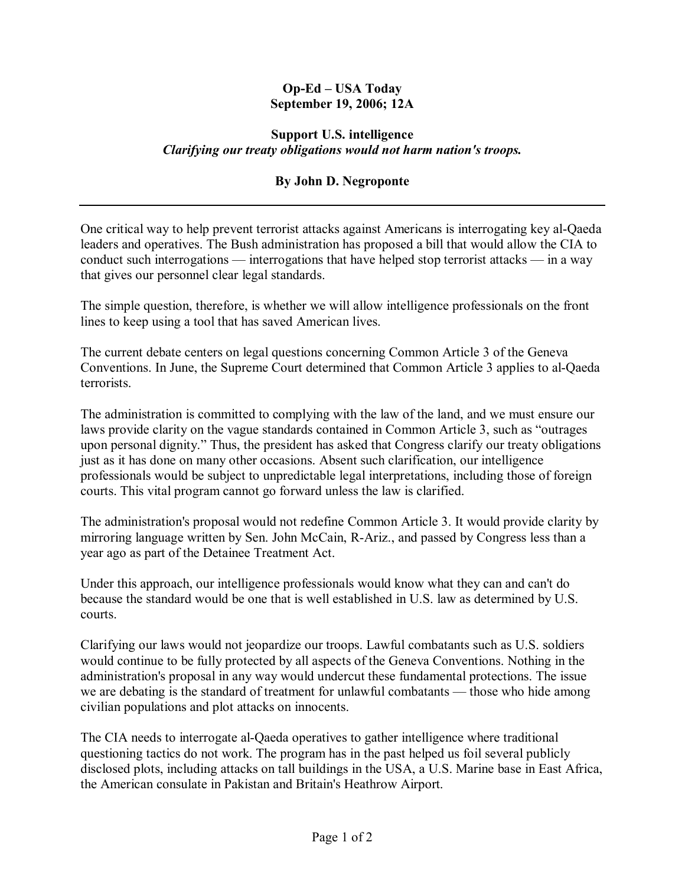## **Op-Ed – USA Today September 19, 2006; 12A**

## **Support U.S. intelligence**  *Clarifying our treaty obligations would not harm nation's troops.*

## **By John D. Negroponte**

One critical way to help prevent terrorist attacks against Americans is interrogating key al-Qaeda leaders and operatives. The Bush administration has proposed a bill that would allow the CIA to conduct such interrogations  $\frac{d}{dx}$  interrogations that have helped stop terrorist attacks  $\frac{d}{dx}$  in a way that gives our personnel clear legal standards.

The simple question, therefore, is whether we will allow intelligence professionals on the front lines to keep using a tool that has saved American lives.

The current debate centers on legal questions concerning Common Article 3 of the Geneva Conventions. In June, the Supreme Court determined that Common Article 3 applies to al-Qaeda terrorists.

The administration is committed to complying with the law of the land, and we must ensure our laws provide clarity on the vague standards contained in Common Article 3, such as "outrages" upon personal dignity." Thus, the president has asked that Congress clarify our treaty obligations just as it has done on many other occasions. Absent such clarification, our intelligence professionals would be subject to unpredictable legal interpretations, including those of foreign courts. This vital program cannot go forward unless the law is clarified.

The administration's proposal would not redefine Common Article 3. It would provide clarity by mirroring language written by Sen. John McCain, R-Ariz., and passed by Congress less than a year ago as part of the Detainee Treatment Act.

Under this approach, our intelligence professionals would know what they can and can't do because the standard would be one that is well established in U.S. law as determined by U.S. courts.

Clarifying our laws would not jeopardize our troops. Lawful combatants such as U.S. soldiers would continue to be fully protected by all aspects of the Geneva Conventions. Nothing in the administration's proposal in any way would undercut these fundamental protections. The issue we are debating is the standard of treatment for unlawful combatants — those who hide among civilian populations and plot attacks on innocents.

The CIA needs to interrogate al-Qaeda operatives to gather intelligence where traditional questioning tactics do not work. The program has in the past helped us foil several publicly disclosed plots, including attacks on tall buildings in the USA, a U.S. Marine base in East Africa, the American consulate in Pakistan and Britain's Heathrow Airport.